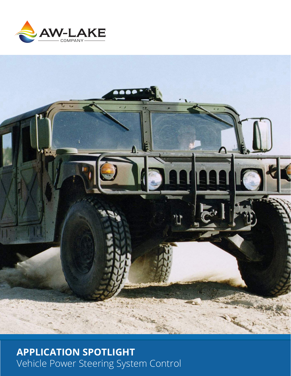



# **APPLICATION SPOTLIGHT** Vehicle Power Steering System Control